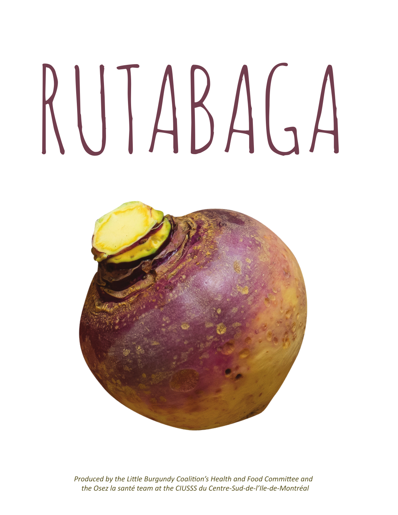# rutabaga



*Produced by the Little Burgundy Coalition's Health and Food Committee and the Osez la santé team at the CIUSSS du Centre-Sud-de-l'Ile-de-Montréal*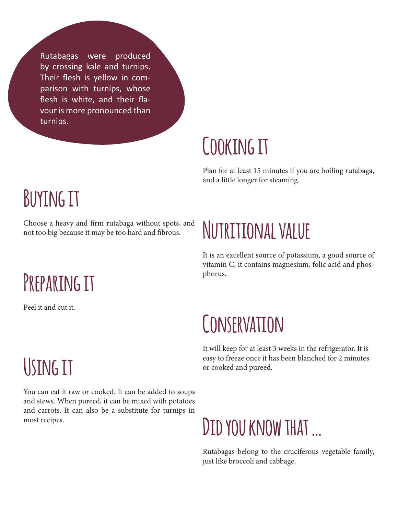Rutabagas were produced by crossing kale and turnips. Their flesh is yellow in comparison with turnips, whose flesh is white, and their flavour is more pronounced than turnips.

### **Cooking it**

Plan for at least 15 minutes if you are boiling rutabaga, and a little longer for steaming.

#### **Buying it**

Choose a heavy and firm rutabaga without spots, and not too big because it may be too hard and fibrous.

### **Preparing it**

Peel it and cut it.

## **Nutritional value**

It is an excellent source of potassium, a good source of vitamin C, it contains magnesium, folic acid and phosphorus.

#### **Conservation**

It will keep for at least 3 weeks in the refrigerator. It is easy to freeze once it has been blanched for 2 minutes or cooked and pureed.

# **Using it**

You can eat it raw or cooked. It can be added to soups and stews. When pureed, it can be mixed with potatoes and carrots. It can also be a substitute for turnips in most recipes.

## **Did you know that …**

Rutabagas belong to the cruciferous vegetable family, just like broccoli and cabbage.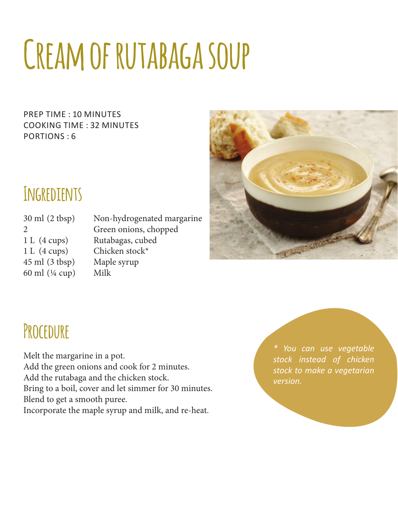# **Cream of rutabaga soup**

prep time : 10 minutes cooking time : 32 minutes Portions : 6



#### **Ingredients**

1 L (4 cups) Chicken stock\* 45 ml (3 tbsp) Maple syrup 60 ml  $(\frac{1}{4}$  cup) Milk

30 ml (2 tbsp) Non-hydrogenated margarine 2 Green onions, chopped 1 L (4 cups) Rutabagas, cubed

#### **Procedure**

Melt the margarine in a pot.

Add the green onions and cook for 2 minutes.

Add the rutabaga and the chicken stock.

Bring to a boil, cover and let simmer for 30 minutes.

Blend to get a smooth puree.

Incorporate the maple syrup and milk, and re-heat.

*\* You can use vegetable stock instead of chicken stock to make a vegetarian version.*